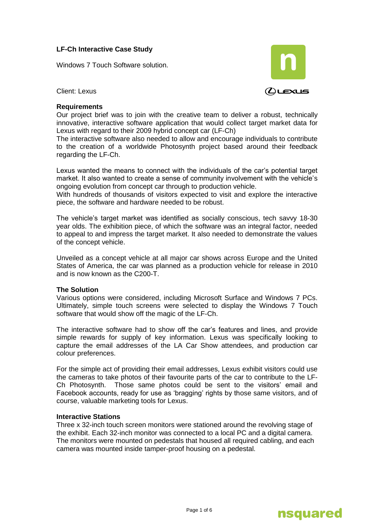# **LF-Ch Interactive Case Study**

Windows 7 Touch Software solution.



Client: Lexus

## **Requirements**

Our project brief was to join with the creative team to deliver a robust, technically innovative, interactive software application that would collect target market data for Lexus with regard to their 2009 hybrid concept car (LF-Ch)

The interactive software also needed to allow and encourage individuals to contribute to the creation of a worldwide Photosynth project based around their feedback regarding the LF-Ch.

Lexus wanted the means to connect with the individuals of the car"s potential target market. It also wanted to create a sense of community involvement with the vehicle"s ongoing evolution from concept car through to production vehicle.

With hundreds of thousands of visitors expected to visit and explore the interactive piece, the software and hardware needed to be robust.

The vehicle"s target market was identified as socially conscious, tech savvy 18-30 year olds. The exhibition piece, of which the software was an integral factor, needed to appeal to and impress the target market. It also needed to demonstrate the values of the concept vehicle.

Unveiled as a concept vehicle at all major car shows across Europe and the United States of America, the car was planned as a production vehicle for release in 2010 and is now known as the C200-T.

#### **The Solution**

Various options were considered, including Microsoft Surface and Windows 7 PCs. Ultimately, simple touch screens were selected to display the Windows 7 Touch software that would show off the magic of the LF-Ch.

The interactive software had to show off the car"s features and lines, and provide simple rewards for supply of key information. Lexus was specifically looking to capture the email addresses of the LA Car Show attendees, and production car colour preferences.

For the simple act of providing their email addresses, Lexus exhibit visitors could use the cameras to take photos of their favourite parts of the car to contribute to the LF-Ch Photosynth. Those same photos could be sent to the visitors' email and Facebook accounts, ready for use as "bragging" rights by those same visitors, and of course, valuable marketing tools for Lexus.

## **Interactive Stations**

Three x 32-inch touch screen monitors were stationed around the revolving stage of the exhibit. Each 32-inch monitor was connected to a local PC and a digital camera. The monitors were mounted on pedestals that housed all required cabling, and each camera was mounted inside tamper-proof housing on a pedestal.

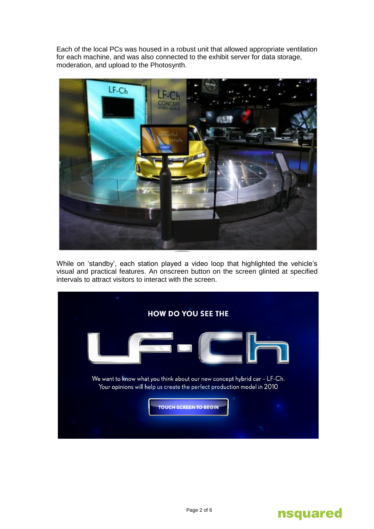Each of the local PCs was housed in a robust unit that allowed appropriate ventilation for each machine, and was also connected to the exhibit server for data storage, moderation, and upload to the Photosynth.



While on "standby", each station played a video loop that highlighted the vehicle"s visual and practical features. An onscreen button on the screen glinted at specified intervals to attract visitors to interact with the screen.



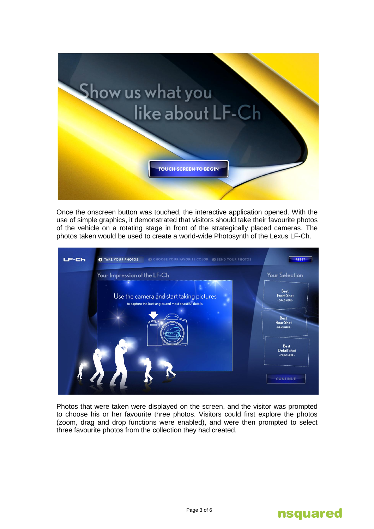

Once the onscreen button was touched, the interactive application opened. With the use of simple graphics, it demonstrated that visitors should take their favourite photos of the vehicle on a rotating stage in front of the strategically placed cameras. The photos taken would be used to create a world-wide Photosynth of the Lexus LF-Ch.



Photos that were taken were displayed on the screen, and the visitor was prompted to choose his or her favourite three photos. Visitors could first explore the photos (zoom, drag and drop functions were enabled), and were then prompted to select three favourite photos from the collection they had created.

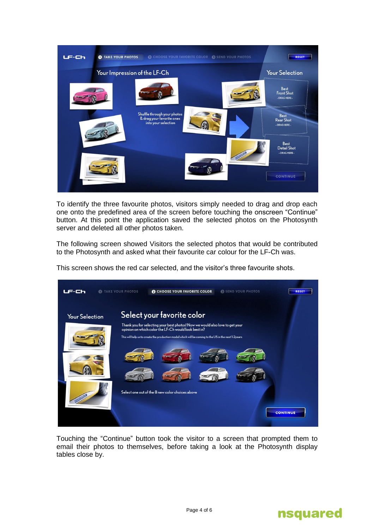

To identify the three favourite photos, visitors simply needed to drag and drop each one onto the predefined area of the screen before touching the onscreen "Continue" button. At this point the application saved the selected photos on the Photosynth server and deleted all other photos taken.

The following screen showed Visitors the selected photos that would be contributed to the Photosynth and asked what their favourite car colour for the LF-Ch was.

This screen shows the red car selected, and the visitor"s three favourite shots.



Touching the "Continue" button took the visitor to a screen that prompted them to email their photos to themselves, before taking a look at the Photosynth display tables close by.

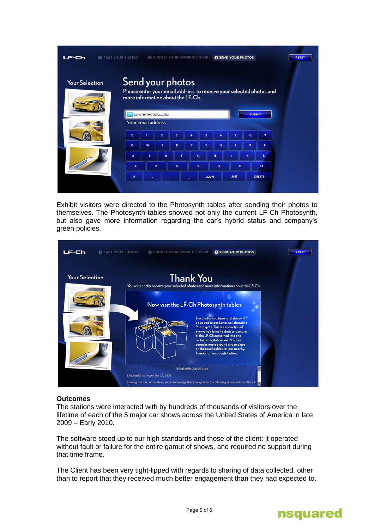| <b>O</b> TAKE YOUR PHOTOS<br>69 C |                                                                                                                                                                     |                    |                | <b>B</b> CHOOSE YOUR FAVORITE COLOR |             |   |              | <b>SEND YOUR PHOTOS</b> |              |               | <b>RESET</b> |  |
|-----------------------------------|---------------------------------------------------------------------------------------------------------------------------------------------------------------------|--------------------|----------------|-------------------------------------|-------------|---|--------------|-------------------------|--------------|---------------|--------------|--|
| <b>Your Selection</b>             | Send your photos<br>Please enter your email address to receive your selected photos and<br>more information about the LF-Ch.<br>KSMITH@HOTMAIL.COM<br><b>SUBMIT</b> |                    |                |                                     |             |   |              |                         |              |               |              |  |
|                                   |                                                                                                                                                                     |                    |                |                                     |             |   |              |                         |              |               |              |  |
|                                   |                                                                                                                                                                     | Your email address |                |                                     |             |   |              |                         |              |               |              |  |
|                                   | $\mathbf{o}$                                                                                                                                                        |                    | $\overline{2}$ | 3                                   | 4           | 5 | 6            | $\overline{7}$          | 8            | 9             |              |  |
|                                   | $\alpha$                                                                                                                                                            | W                  | E              | $\mathbf R$                         | T           | Y | U            |                         | $\circ$      | P             |              |  |
|                                   |                                                                                                                                                                     |                    |                |                                     |             |   |              |                         |              |               |              |  |
|                                   | A                                                                                                                                                                   | $\mathsf{s}$       | D              | F                                   | G           |   | H            |                         | $\mathbf{K}$ | Ł             |              |  |
|                                   | z                                                                                                                                                                   |                    | $\mathbf{x}$   | $\mathbf{C}$                        | $\mathbf v$ |   | $\mathbf{B}$ | $\overline{N}$          |              | M             |              |  |
|                                   | $^{\circ}$                                                                                                                                                          |                    |                |                                     | .COM        |   |              | .NET                    |              | <b>DELETE</b> |              |  |
|                                   |                                                                                                                                                                     |                    |                |                                     |             |   |              |                         |              |               |              |  |

Exhibit visitors were directed to the Photosynth tables after sending their photos to themselves. The Photosynth tables showed not only the current LF-Ch Photosynth, but also gave more information regarding the car"s hybrid status and company"s green policies.



## **Outcomes**

The stations were interacted with by hundreds of thousands of visitors over the lifetime of each of the 5 major car shows across the United States of America in late 2009 – Early 2010.

The software stood up to our high standards and those of the client: it operated without fault or failure for the entire gamut of shows, and required no support during that time frame.

The Client has been very tight-lipped with regards to sharing of data collected, other than to report that they received much better engagement than they had expected to.